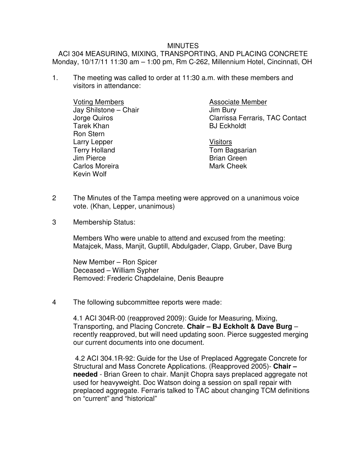## MINUTES

ACI 304 MEASURING, MIXING, TRANSPORTING, AND PLACING CONCRETE Monday, 10/17/11 11:30 am – 1:00 pm, Rm C-262, Millennium Hotel, Cincinnati, OH

1. The meeting was called to order at 11:30 a.m. with these members and visitors in attendance:

 Voting Members Jay Shilstone – Chair Jorge Quiros Tarek Khan Ron Stern Larry Lepper Terry Holland Jim Pierce Carlos Moreira Kevin Wolf

Associate Member Jim Bury Clarrissa Ferraris, TAC Contact BJ Eckholdt

Visitors Tom Bagsarian Brian Green Mark Cheek

- 2 The Minutes of the Tampa meeting were approved on a unanimous voice vote. (Khan, Lepper, unanimous)
- 3 Membership Status:

 Members Who were unable to attend and excused from the meeting: Matajcek, Mass, Manjit, Guptill, Abdulgader, Clapp, Gruber, Dave Burg

New Member – Ron Spicer Deceased – William Sypher Removed: Frederic Chapdelaine, Denis Beaupre

4 The following subcommittee reports were made:

4.1 ACI 304R-00 (reapproved 2009): Guide for Measuring, Mixing, Transporting, and Placing Concrete. **Chair – BJ Eckholt & Dave Burg** – recently reapproved, but will need updating soon. Pierce suggested merging our current documents into one document.

 4.2 ACI 304.1R-92: Guide for the Use of Preplaced Aggregate Concrete for Structural and Mass Concrete Applications. (Reapproved 2005)- **Chair – needed** - Brian Green to chair. Manjit Chopra says preplaced aggregate not used for heavyweight. Doc Watson doing a session on spall repair with preplaced aggregate. Ferraris talked to TAC about changing TCM definitions on "current" and "historical"